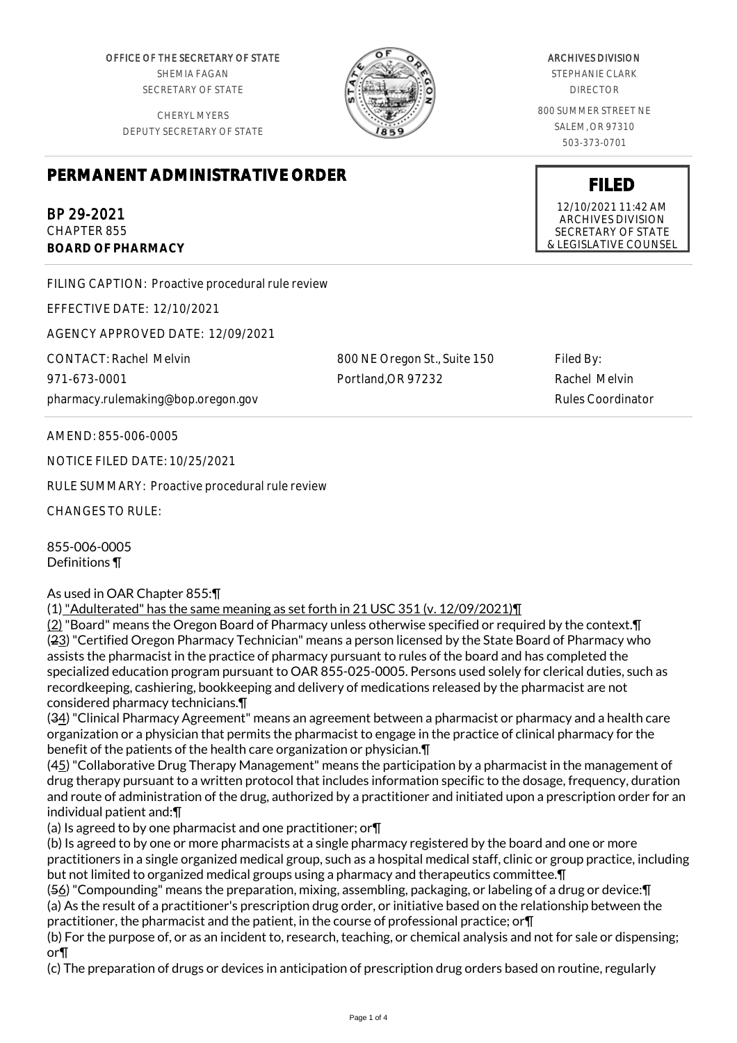OFFICE OF THE SECRETARY OF STATE SHEMIA FAGAN SECRETARY OF STATE

CHERYL MYERS DEPUTY SECRETARY OF STATE



## ARCHIVES DIVISION

STEPHANIE CLARK DIRECTOR

800 SUMMER STREET NE SALEM, OR 97310 503-373-0701

**FILED** 12/10/2021 11:42 AM ARCHIVES DIVISION SECRETARY OF STATE & LEGISLATIVE COUNSEL

## **PERMANENT ADMINISTRATIVE ORDER**

BP 29-2021 CHAPTER 855

**BOARD OF PHARMACY**

FILING CAPTION: Proactive procedural rule review

EFFECTIVE DATE: 12/10/2021

AGENCY APPROVED DATE: 12/09/2021

CONTACT: Rachel Melvin 971-673-0001 pharmacy.rulemaking@bop.oregon.gov 800 NE Oregon St., Suite 150 Portland,OR 97232

Filed By: Rachel Melvin Rules Coordinator

AMEND: 855-006-0005

NOTICE FILED DATE: 10/25/2021

RULE SUMMARY: Proactive procedural rule review

CHANGES TO RULE:

855-006-0005 Definitions ¶

As used in OAR Chapter 855:¶

(1) "Adulterated" has the same meaning as set forth in 21 USC 351 (v. 12/09/2021)¶

(2) "Board" means the Oregon Board of Pharmacy unless otherwise specified or required by the context.¶ (23) "Certified Oregon Pharmacy Technician" means a person licensed by the State Board of Pharmacy who assists the pharmacist in the practice of pharmacy pursuant to rules of the board and has completed the specialized education program pursuant to OAR 855-025-0005. Persons used solely for clerical duties, such as recordkeeping, cashiering, bookkeeping and delivery of medications released by the pharmacist are not considered pharmacy technicians.¶

(34) "Clinical Pharmacy Agreement" means an agreement between a pharmacist or pharmacy and a health care organization or a physician that permits the pharmacist to engage in the practice of clinical pharmacy for the benefit of the patients of the health care organization or physician.¶

(45) "Collaborative Drug Therapy Management" means the participation by a pharmacist in the management of drug therapy pursuant to a written protocol that includes information specific to the dosage, frequency, duration and route of administration of the drug, authorized by a practitioner and initiated upon a prescription order for an individual patient and:¶

(a) Is agreed to by one pharmacist and one practitioner; or¶

(b) Is agreed to by one or more pharmacists at a single pharmacy registered by the board and one or more practitioners in a single organized medical group, such as a hospital medical staff, clinic or group practice, including but not limited to organized medical groups using a pharmacy and therapeutics committee.¶

(56) "Compounding" means the preparation, mixing, assembling, packaging, or labeling of a drug or device:¶ (a) As the result of a practitioner's prescription drug order, or initiative based on the relationship between the practitioner, the pharmacist and the patient, in the course of professional practice; or¶

(b) For the purpose of, or as an incident to, research, teaching, or chemical analysis and not for sale or dispensing; or¶

(c) The preparation of drugs or devices in anticipation of prescription drug orders based on routine, regularly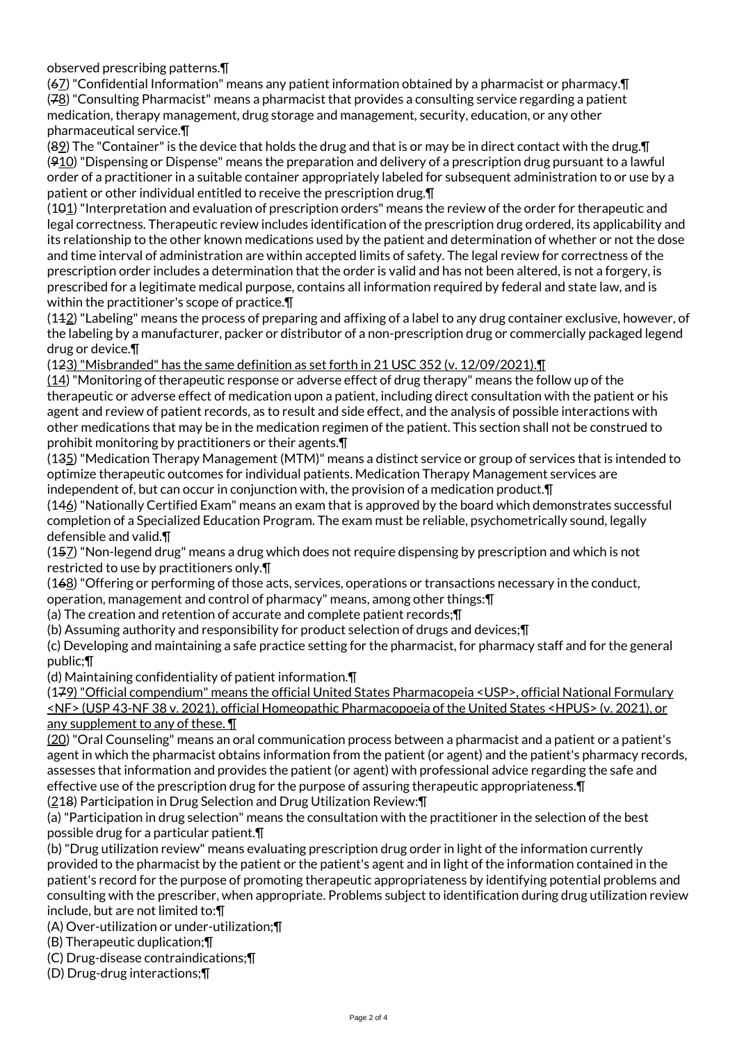observed prescribing patterns.¶

(67) "Confidential Information" means any patient information obtained by a pharmacist or pharmacy.¶ (78) "Consulting Pharmacist" means a pharmacist that provides a consulting service regarding a patient medication, therapy management, drug storage and management, security, education, or any other pharmaceutical service.¶

(89) The "Container" is the device that holds the drug and that is or may be in direct contact with the drug.¶  $(910)$  "Dispensing or Dispense" means the preparation and delivery of a prescription drug pursuant to a lawful order of a practitioner in a suitable container appropriately labeled for subsequent administration to or use by a patient or other individual entitled to receive the prescription drug.¶

 $(101)$  "Interpretation and evaluation of prescription orders" means the review of the order for therapeutic and legal correctness. Therapeutic review includes identification of the prescription drug ordered, its applicability and its relationship to the other known medications used by the patient and determination of whether or not the dose and time interval of administration are within accepted limits of safety. The legal review for correctness of the prescription order includes a determination that the order is valid and has not been altered, is not a forgery, is prescribed for a legitimate medical purpose, contains all information required by federal and state law, and is within the practitioner's scope of practice.¶

(112) "Labeling" means the process of preparing and affixing of a label to any drug container exclusive, however, of the labeling by a manufacturer, packer or distributor of a non-prescription drug or commercially packaged legend drug or device.¶

(123) "Misbranded" has the same definition as set forth in 21 USC 352 (v. 12/09/2021).¶

(14) "Monitoring of therapeutic response or adverse effect of drug therapy" means the follow up of the therapeutic or adverse effect of medication upon a patient, including direct consultation with the patient or his agent and review of patient records, as to result and side effect, and the analysis of possible interactions with other medications that may be in the medication regimen of the patient. This section shall not be construed to prohibit monitoring by practitioners or their agents.¶

(135) "Medication Therapy Management (MTM)" means a distinct service or group of services that is intended to optimize therapeutic outcomes for individual patients. Medication Therapy Management services are independent of, but can occur in conjunction with, the provision of a medication product.¶

(146) "Nationally Certified Exam" means an exam that is approved by the board which demonstrates successful completion of a Specialized Education Program. The exam must be reliable, psychometrically sound, legally defensible and valid.¶

(157) "Non-legend drug" means a drug which does not require dispensing by prescription and which is not restricted to use by practitioners only.¶

(168) "Offering or performing of those acts, services, operations or transactions necessary in the conduct, operation, management and control of pharmacy" means, among other things:¶

(a) The creation and retention of accurate and complete patient records;¶

(b) Assuming authority and responsibility for product selection of drugs and devices;¶

(c) Developing and maintaining a safe practice setting for the pharmacist, for pharmacy staff and for the general public;¶

(d) Maintaining confidentiality of patient information.¶

(179) "Official compendium" means the official United States Pharmacopeia <USP>, official National Formulary <NF> (USP 43-NF 38 v. 2021), official Homeopathic Pharmacopoeia of the United States <HPUS> (v. 2021), or any supplement to any of these. ¶

(20) "Oral Counseling" means an oral communication process between a pharmacist and a patient or a patient's agent in which the pharmacist obtains information from the patient (or agent) and the patient's pharmacy records, assesses that information and provides the patient (or agent) with professional advice regarding the safe and effective use of the prescription drug for the purpose of assuring therapeutic appropriateness.¶ (218) Participation in Drug Selection and Drug Utilization Review:¶

(a) "Participation in drug selection" means the consultation with the practitioner in the selection of the best possible drug for a particular patient.¶

(b) "Drug utilization review" means evaluating prescription drug order in light of the information currently provided to the pharmacist by the patient or the patient's agent and in light of the information contained in the patient's record for the purpose of promoting therapeutic appropriateness by identifying potential problems and consulting with the prescriber, when appropriate. Problems subject to identification during drug utilization review include, but are not limited to:¶

(A) Over-utilization or under-utilization;¶

(B) Therapeutic duplication;¶

(C) Drug-disease contraindications;¶

(D) Drug-drug interactions;¶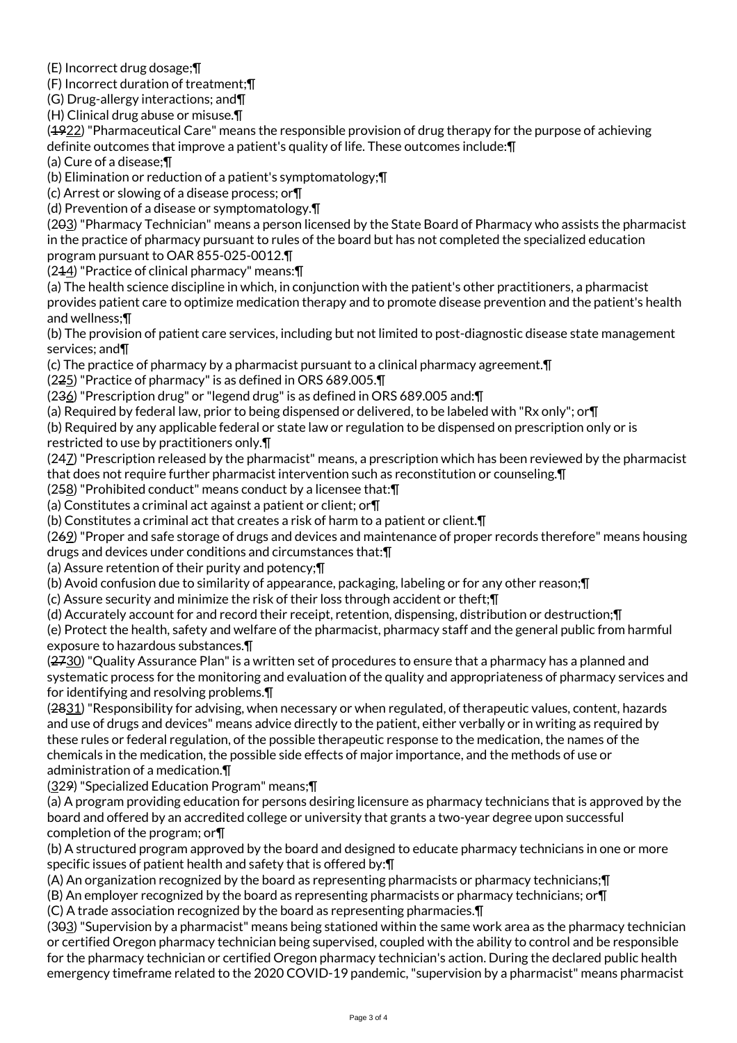(E) Incorrect drug dosage;¶

(F) Incorrect duration of treatment;¶

(G) Drug-allergy interactions; and¶

(H) Clinical drug abuse or misuse.¶

(1922) "Pharmaceutical Care" means the responsible provision of drug therapy for the purpose of achieving definite outcomes that improve a patient's quality of life. These outcomes include:¶

(a) Cure of a disease;¶

(b) Elimination or reduction of a patient's symptomatology;¶

(c) Arrest or slowing of a disease process; or¶

(d) Prevention of a disease or symptomatology.¶

(203) "Pharmacy Technician" means a person licensed by the State Board of Pharmacy who assists the pharmacist in the practice of pharmacy pursuant to rules of the board but has not completed the specialized education program pursuant to OAR 855-025-0012.¶

(214) "Practice of clinical pharmacy" means:¶

(a) The health science discipline in which, in conjunction with the patient's other practitioners, a pharmacist provides patient care to optimize medication therapy and to promote disease prevention and the patient's health and wellness;¶

(b) The provision of patient care services, including but not limited to post-diagnostic disease state management services; and¶

(c) The practice of pharmacy by a pharmacist pursuant to a clinical pharmacy agreement.¶

(225) "Practice of pharmacy" is as defined in ORS 689.005.¶

(236) "Prescription drug" or "legend drug" is as defined in ORS 689.005 and: [1]

(a) Required by federal law, prior to being dispensed or delivered, to be labeled with "Rx only"; or¶

(b) Required by any applicable federal or state law or regulation to be dispensed on prescription only or is restricted to use by practitioners only.¶

(247) "Prescription released by the pharmacist" means, a prescription which has been reviewed by the pharmacist that does not require further pharmacist intervention such as reconstitution or counseling.¶

(258) "Prohibited conduct" means conduct by a licensee that:¶

(a) Constitutes a criminal act against a patient or client; or¶

(b) Constitutes a criminal act that creates a risk of harm to a patient or client.¶

(269) "Proper and safe storage of drugs and devices and maintenance of proper records therefore" means housing drugs and devices under conditions and circumstances that:¶

(a) Assure retention of their purity and potency;¶

(b) Avoid confusion due to similarity of appearance, packaging, labeling or for any other reason;¶

(c) Assure security and minimize the risk of their loss through accident or theft;¶

(d) Accurately account for and record their receipt, retention, dispensing, distribution or destruction;¶

(e) Protect the health, safety and welfare of the pharmacist, pharmacy staff and the general public from harmful exposure to hazardous substances.¶

(2730) "Quality Assurance Plan" is a written set of procedures to ensure that a pharmacy has a planned and systematic process for the monitoring and evaluation of the quality and appropriateness of pharmacy services and for identifying and resolving problems.¶

(2831) "Responsibility for advising, when necessary or when regulated, of therapeutic values, content, hazards and use of drugs and devices" means advice directly to the patient, either verbally or in writing as required by these rules or federal regulation, of the possible therapeutic response to the medication, the names of the chemicals in the medication, the possible side effects of major importance, and the methods of use or administration of a medication.¶

(329) "Specialized Education Program" means;¶

(a) A program providing education for persons desiring licensure as pharmacy technicians that is approved by the board and offered by an accredited college or university that grants a two-year degree upon successful completion of the program; or¶

(b) A structured program approved by the board and designed to educate pharmacy technicians in one or more specific issues of patient health and safety that is offered by:¶

(A) An organization recognized by the board as representing pharmacists or pharmacy technicians;¶

(B) An employer recognized by the board as representing pharmacists or pharmacy technicians; or¶ (C) A trade association recognized by the board as representing pharmacies.¶

(303) "Supervision by a pharmacist" means being stationed within the same work area as the pharmacy technician or certified Oregon pharmacy technician being supervised, coupled with the ability to control and be responsible for the pharmacy technician or certified Oregon pharmacy technician's action. During the declared public health emergency timeframe related to the 2020 COVID-19 pandemic, "supervision by a pharmacist" means pharmacist